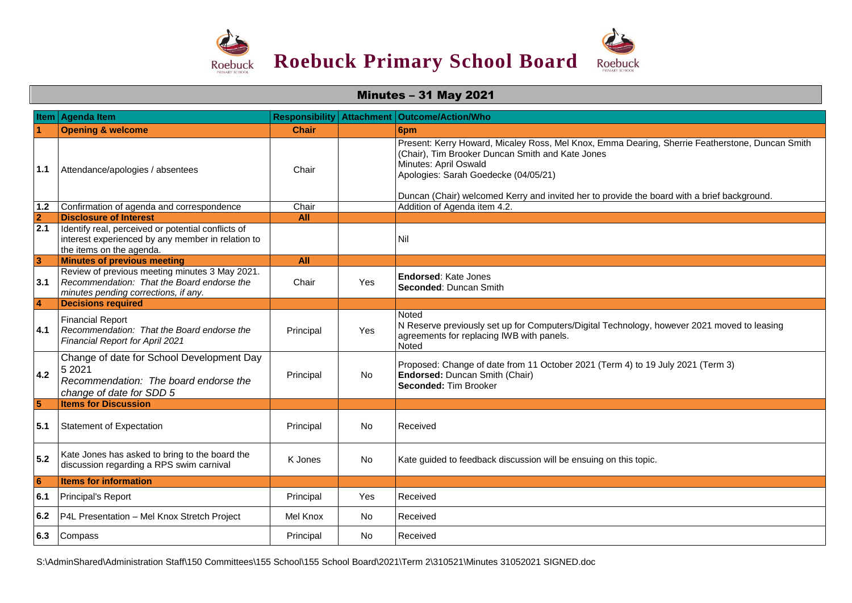

## Minutes – 31 May 2021

|                 | Item Agenda Item                                                                                                                     | <b>Responsibility Attachment</b> |           | <b>Outcome/Action/Who</b>                                                                                                                                                                                                                                                                                           |
|-----------------|--------------------------------------------------------------------------------------------------------------------------------------|----------------------------------|-----------|---------------------------------------------------------------------------------------------------------------------------------------------------------------------------------------------------------------------------------------------------------------------------------------------------------------------|
|                 | <b>Opening &amp; welcome</b>                                                                                                         | <b>Chair</b>                     |           | 6pm                                                                                                                                                                                                                                                                                                                 |
| 1.1             | Attendance/apologies / absentees                                                                                                     | Chair                            |           | Present: Kerry Howard, Micaley Ross, Mel Knox, Emma Dearing, Sherrie Featherstone, Duncan Smith<br>(Chair), Tim Brooker Duncan Smith and Kate Jones<br>Minutes: April Oswald<br>Apologies: Sarah Goedecke (04/05/21)<br>Duncan (Chair) welcomed Kerry and invited her to provide the board with a brief background. |
| 1.2             | Confirmation of agenda and correspondence                                                                                            | Chair                            |           | Addition of Agenda item 4.2.                                                                                                                                                                                                                                                                                        |
| $\overline{2}$  | <b>Disclosure of Interest</b>                                                                                                        | All                              |           |                                                                                                                                                                                                                                                                                                                     |
| 2.1             | Identify real, perceived or potential conflicts of<br>interest experienced by any member in relation to<br>the items on the agenda.  |                                  |           | Nil                                                                                                                                                                                                                                                                                                                 |
| $\mathbf{3}$    | <b>Minutes of previous meeting</b>                                                                                                   | <b>All</b>                       |           |                                                                                                                                                                                                                                                                                                                     |
| 3.1             | Review of previous meeting minutes 3 May 2021.<br>Recommendation: That the Board endorse the<br>minutes pending corrections, if any. | Chair                            | Yes       | Endorsed: Kate Jones<br>Seconded: Duncan Smith                                                                                                                                                                                                                                                                      |
| $\overline{4}$  | <b>Decisions required</b>                                                                                                            |                                  |           |                                                                                                                                                                                                                                                                                                                     |
| 4.1             | <b>Financial Report</b><br>Recommendation: That the Board endorse the<br><b>Financial Report for April 2021</b>                      | Principal                        | Yes       | Noted<br>N Reserve previously set up for Computers/Digital Technology, however 2021 moved to leasing<br>agreements for replacing IWB with panels.<br>Noted                                                                                                                                                          |
| 4.2             | Change of date for School Development Day<br>5 2021<br>Recommendation: The board endorse the<br>change of date for SDD 5             | Principal                        | No        | Proposed: Change of date from 11 October 2021 (Term 4) to 19 July 2021 (Term 3)<br>Endorsed: Duncan Smith (Chair)<br>Seconded: Tim Brooker                                                                                                                                                                          |
| $5\overline{5}$ | <b>Items for Discussion</b>                                                                                                          |                                  |           |                                                                                                                                                                                                                                                                                                                     |
| 5.1             | <b>Statement of Expectation</b>                                                                                                      | Principal                        | <b>No</b> | Received                                                                                                                                                                                                                                                                                                            |
| 5.2             | Kate Jones has asked to bring to the board the<br>discussion regarding a RPS swim carnival                                           | K Jones                          | No        | Kate guided to feedback discussion will be ensuing on this topic.                                                                                                                                                                                                                                                   |
| 6               | <b>Items for information</b>                                                                                                         |                                  |           |                                                                                                                                                                                                                                                                                                                     |
| 6.1             | Principal's Report                                                                                                                   | Principal                        | Yes       | Received                                                                                                                                                                                                                                                                                                            |
| 6.2             | P4L Presentation - Mel Knox Stretch Project                                                                                          | Mel Knox                         | No        | Received                                                                                                                                                                                                                                                                                                            |
| 6.3             | Compass                                                                                                                              | Principal                        | No        | Received                                                                                                                                                                                                                                                                                                            |

S:\AdminShared\Administration Staff\150 Committees\155 School\155 School Board\2021\Term 2\310521\Minutes 31052021 SIGNED.doc